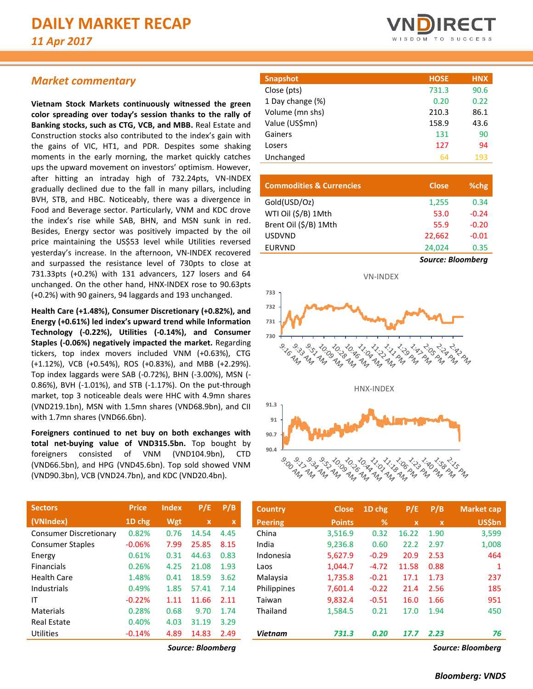# *Market commentary*

**Vietnam Stock Markets continuously witnessed the green color spreading over today's session thanks to the rally of Banking stocks, such as CTG, VCB, and MBB.** Real Estate and Construction stocks also contributed to the index's gain with the gains of VIC, HT1, and PDR. Despites some shaking moments in the early morning, the market quickly catches ups the upward movement on investors' optimism. However, after hitting an intraday high of 732.24pts, VN-INDEX gradually declined due to the fall in many pillars, including BVH, STB, and HBC. Noticeably, there was a divergence in Food and Beverage sector. Particularly, VNM and KDC drove the index's rise while SAB, BHN, and MSN sunk in red. Besides, Energy sector was positively impacted by the oil price maintaining the US\$53 level while Utilities reversed yesterday's increase. In the afternoon, VN-INDEX recovered and surpassed the resistance level of 730pts to close at 731.33pts (+0.2%) with 131 advancers, 127 losers and 64 unchanged. On the other hand, HNX-INDEX rose to 90.63pts (+0.2%) with 90 gainers, 94 laggards and 193 unchanged.

**Health Care (+1.48%), Consumer Discretionary (+0.82%), and Energy (+0.61%) led index's upward trend while Information Technology (-0.22%), Utilities (-0.14%), and Consumer Staples (-0.06%) negatively impacted the market.** Regarding tickers, top index movers included VNM (+0.63%), CTG (+1.12%), VCB (+0.54%), ROS (+0.83%), and MBB (+2.29%). Top index laggards were SAB (-0.72%), BHN (-3.00%), MSN (- 0.86%), BVH (-1.01%), and STB (-1.17%). On the put-through market, top 3 noticeable deals were HHC with 4.9mn shares (VND219.1bn), MSN with 1.5mn shares (VND68.9bn), and CII with 1.7mn shares (VND66.6bn).

**Foreigners continued to net buy on both exchanges with total net-buying value of VND315.5bn.** Top bought by foreigners consisted of VNM (VND104.9bn), CTD (VND66.5bn), and HPG (VND45.6bn). Top sold showed VNM (VND90.3bn), VCB (VND24.7bn), and KDC (VND20.4bn).

| <b>Sectors</b>                | <b>Price</b> | <b>Index</b> | P/E         | P/B  |
|-------------------------------|--------------|--------------|-------------|------|
| (VNIndex)                     | 1D chg       | Wgt          | $\mathbf x$ | x    |
| <b>Consumer Discretionary</b> | 0.82%        | 0.76         | 14.54       | 4.45 |
| <b>Consumer Staples</b>       | $-0.06%$     | 7.99         | 25.85       | 8.15 |
| Energy                        | 0.61%        | 0.31         | 44.63       | 0.83 |
| <b>Financials</b>             | 0.26%        | 4.25         | 21.08       | 1.93 |
| Health Care                   | 1.48%        | 0.41         | 18.59       | 3.62 |
| Industrials                   | 0.49%        | 1.85         | 57.41       | 7.14 |
| ΙT                            | $-0.22%$     | 1.11         | 11.66       | 2.11 |
| Materials                     | 0.28%        | 0.68         | 9.70        | 1.74 |
| Real Estate                   | 0.40%        | 4.03         | 31.19       | 3.29 |
| Utilities                     | $-0.14%$     | 4.89         | 14.83       | 2.49 |
|                               |              |              |             |      |



| <b>Snapshot</b>  | <b>HOSE</b> | <b>HNX</b> |
|------------------|-------------|------------|
| Close (pts)      | 731.3       | 90.6       |
| 1 Day change (%) | 0.20        | 0.22       |
| Volume (mn shs)  | 210.3       | 86.1       |
| Value (US\$mn)   | 158.9       | 43.6       |
| Gainers          | 131         | 90         |
| Losers           | 127         | 94         |
| Unchanged        | 64          | 193        |
|                  |             |            |

| <b>Commodities &amp; Currencies</b> | <b>Close</b>             | %chg    |
|-------------------------------------|--------------------------|---------|
| Gold(USD/Oz)                        | 1,255                    | 0.34    |
| WTI Oil (\$/B) 1Mth                 | 53.0                     | $-0.24$ |
| Brent Oil (\$/B) 1Mth               | 55.9                     | $-0.20$ |
| <b>USDVND</b>                       | 22,662                   | $-0.01$ |
| <b>EURVND</b>                       | 24,024                   | 0.35    |
|                                     | <b>Source: Bloomberg</b> |         |



| <b>Sectors</b>                | <b>Price</b> | <b>Index</b> | P/E               | P/B         | <b>Country</b> | <b>Close</b>  | $1D$ chg | P/E         | P/B          | <b>Market cap</b> |
|-------------------------------|--------------|--------------|-------------------|-------------|----------------|---------------|----------|-------------|--------------|-------------------|
| (VNIndex)                     | 1D chg       | Wgt          | $\mathbf x$       | $\mathbf x$ | <b>Peering</b> | <b>Points</b> | %        | $\mathbf x$ | $\mathbf{x}$ | <b>US\$bn</b>     |
| <b>Consumer Discretionary</b> | 0.82%        | 0.76         | 14.54             | 4.45        | China          | 3,516.9       | 0.32     | 16.22       | 1.90         | 3,599             |
| <b>Consumer Staples</b>       | $-0.06%$     | 7.99         | 25.85             | 8.15        | India          | 9,236.8       | 0.60     | 22.2        | 2.97         | 1,008             |
| Energy                        | 0.61%        | 0.31         | 44.63             | 0.83        | Indonesia      | 5,627.9       | $-0.29$  | 20.9        | 2.53         | 464               |
| <b>Financials</b>             | 0.26%        | 4.25         | 21.08             | 1.93        | Laos           | 1.044.7       | $-4.72$  | 11.58       | 0.88         |                   |
| Health Care                   | 1.48%        | 0.41         | 18.59             | 3.62        | Malaysia       | 1,735.8       | $-0.21$  | 17.1        | 1.73         | 237               |
| Industrials                   | 0.49%        | 1.85         | 57.41             | 7.14        | Philippines    | 7,601.4       | $-0.22$  | 21.4        | 2.56         | 185               |
| ΙT                            | $-0.22%$     | 1.11         | 11.66             | 2.11        | Taiwan         | 9,832.4       | $-0.51$  | 16.0        | 1.66         | 951               |
| Materials                     | 0.28%        | 0.68         | 9.70              | 1.74        | Thailand       | 1,584.5       | 0.21     | 17.0        | 1.94         | 450               |
| <b>Real Estate</b>            | 0.40%        | 4.03         | 31.19             | 3.29        |                |               |          |             |              |                   |
| Utilities                     | $-0.14%$     | 4.89         | 14.83             | 2.49        | <b>Vietnam</b> | 731.3         | 0.20     | 17.7        | 2.23         | 76                |
|                               |              |              | Source: Bloombera |             |                |               |          |             |              | Source: Bloombera |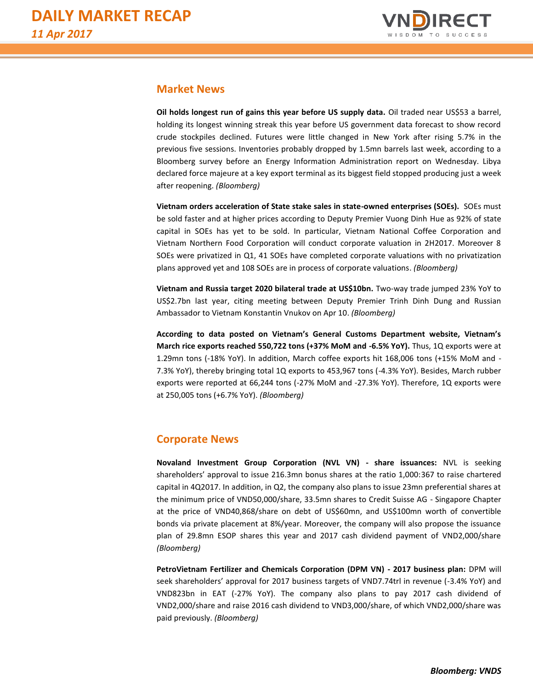

## **Market News**

**Oil holds longest run of gains this year before US supply data.** Oil traded near US\$53 a barrel, holding its longest winning streak this year before US government data forecast to show record crude stockpiles declined. Futures were little changed in New York after rising 5.7% in the previous five sessions. Inventories probably dropped by 1.5mn barrels last week, according to a Bloomberg survey before an Energy Information Administration report on Wednesday. Libya declared force majeure at a key export terminal as its biggest field stopped producing just a week after reopening. *(Bloomberg)*

**Vietnam orders acceleration of State stake sales in state-owned enterprises (SOEs).** SOEs must be sold faster and at higher prices according to Deputy Premier Vuong Dinh Hue as 92% of state capital in SOEs has yet to be sold. In particular, Vietnam National Coffee Corporation and Vietnam Northern Food Corporation will conduct corporate valuation in 2H2017. Moreover 8 SOEs were privatized in Q1, 41 SOEs have completed corporate valuations with no privatization plans approved yet and 108 SOEs are in process of corporate valuations. *(Bloomberg)*

**Vietnam and Russia target 2020 bilateral trade at US\$10bn.** Two-way trade jumped 23% YoY to US\$2.7bn last year, citing meeting between Deputy Premier Trinh Dinh Dung and Russian Ambassador to Vietnam Konstantin Vnukov on Apr 10. *(Bloomberg)*

**According to data posted on Vietnam's General Customs Department website, Vietnam's March rice exports reached 550,722 tons (+37% MoM and -6.5% YoY).** Thus, 1Q exports were at 1.29mn tons (-18% YoY). In addition, March coffee exports hit 168,006 tons (+15% MoM and - 7.3% YoY), thereby bringing total 1Q exports to 453,967 tons (-4.3% YoY). Besides, March rubber exports were reported at 66,244 tons (-27% MoM and -27.3% YoY). Therefore, 1Q exports were at 250,005 tons (+6.7% YoY). *(Bloomberg)*

# **Corporate News**

**Novaland Investment Group Corporation (NVL VN) - share issuances:** NVL is seeking shareholders' approval to issue 216.3mn bonus shares at the ratio 1,000:367 to raise chartered capital in 4Q2017. In addition, in Q2, the company also plans to issue 23mn preferential shares at the minimum price of VND50,000/share, 33.5mn shares to Credit Suisse AG - Singapore Chapter at the price of VND40,868/share on debt of US\$60mn, and US\$100mn worth of convertible bonds via private placement at 8%/year. Moreover, the company will also propose the issuance plan of 29.8mn ESOP shares this year and 2017 cash dividend payment of VND2,000/share *(Bloomberg)*

**PetroVietnam Fertilizer and Chemicals Corporation (DPM VN) - 2017 business plan:** DPM will seek shareholders' approval for 2017 business targets of VND7.74trl in revenue (-3.4% YoY) and VND823bn in EAT (-27% YoY). The company also plans to pay 2017 cash dividend of VND2,000/share and raise 2016 cash dividend to VND3,000/share, of which VND2,000/share was paid previously. *(Bloomberg)*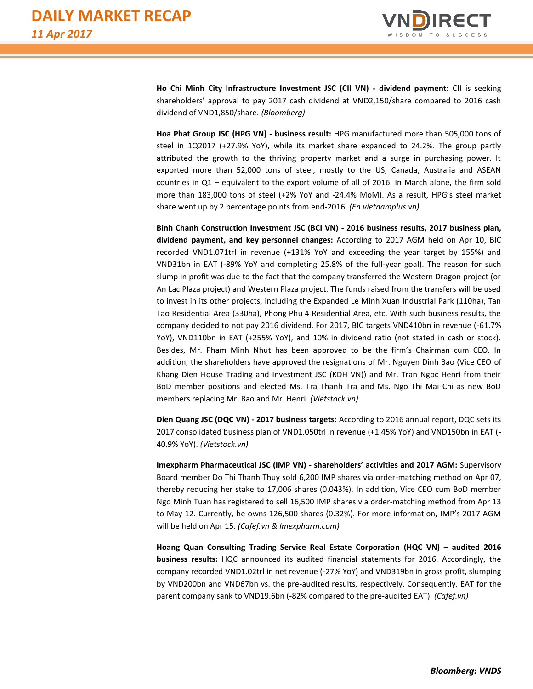

**Ho Chi Minh City Infrastructure Investment JSC (CII VN) - dividend payment:** CII is seeking shareholders' approval to pay 2017 cash dividend at VND2,150/share compared to 2016 cash dividend of VND1,850/share. *(Bloomberg)*

**Hoa Phat Group JSC (HPG VN) - business result:** HPG manufactured more than 505,000 tons of steel in 1Q2017 (+27.9% YoY), while its market share expanded to 24.2%. The group partly attributed the growth to the thriving property market and a surge in purchasing power. It exported more than 52,000 tons of steel, mostly to the US, Canada, Australia and ASEAN countries in Q1 – equivalent to the export volume of all of 2016. In March alone, the firm sold more than 183,000 tons of steel (+2% YoY and -24.4% MoM). As a result, HPG's steel market share went up by 2 percentage points from end-2016. *(En.vietnamplus.vn)*

**Binh Chanh Construction Investment JSC (BCI VN) - 2016 business results, 2017 business plan, dividend payment, and key personnel changes:** According to 2017 AGM held on Apr 10, BIC recorded VND1.071trl in revenue (+131% YoY and exceeding the year target by 155%) and VND31bn in EAT (-89% YoY and completing 25.8% of the full-year goal). The reason for such slump in profit was due to the fact that the company transferred the Western Dragon project (or An Lac Plaza project) and Western Plaza project. The funds raised from the transfers will be used to invest in its other projects, including the Expanded Le Minh Xuan Industrial Park (110ha), Tan Tao Residential Area (330ha), Phong Phu 4 Residential Area, etc. With such business results, the company decided to not pay 2016 dividend. For 2017, BIC targets VND410bn in revenue (-61.7% YoY), VND110bn in EAT (+255% YoY), and 10% in dividend ratio (not stated in cash or stock). Besides, Mr. Pham Minh Nhut has been approved to be the firm's Chairman cum CEO. In addition, the shareholders have approved the resignations of Mr. Nguyen Dinh Bao (Vice CEO of Khang Dien House Trading and Investment JSC (KDH VN)) and Mr. Tran Ngoc Henri from their BoD member positions and elected Ms. Tra Thanh Tra and Ms. Ngo Thi Mai Chi as new BoD members replacing Mr. Bao and Mr. Henri. *(Vietstock.vn)*

**Dien Quang JSC (DQC VN) - 2017 business targets:** According to 2016 annual report, DQC sets its 2017 consolidated business plan of VND1.050trl in revenue (+1.45% YoY) and VND150bn in EAT (- 40.9% YoY). *(Vietstock.vn)*

**Imexpharm Pharmaceutical JSC (IMP VN) - shareholders' activities and 2017 AGM:** Supervisory Board member Do Thi Thanh Thuy sold 6,200 IMP shares via order-matching method on Apr 07, thereby reducing her stake to 17,006 shares (0.043%). In addition, Vice CEO cum BoD member Ngo Minh Tuan has registered to sell 16,500 IMP shares via order-matching method from Apr 13 to May 12. Currently, he owns 126,500 shares (0.32%). For more information, IMP's 2017 AGM will be held on Apr 15. *(Cafef.vn & Imexpharm.com)* 

**Hoang Quan Consulting Trading Service Real Estate Corporation (HQC VN) – audited 2016 business results:** HQC announced its audited financial statements for 2016. Accordingly, the company recorded VND1.02trl in net revenue (-27% YoY) and VND319bn in gross profit, slumping by VND200bn and VND67bn vs. the pre-audited results, respectively. Consequently, EAT for the parent company sank to VND19.6bn (-82% compared to the pre-audited EAT). *(Cafef.vn)*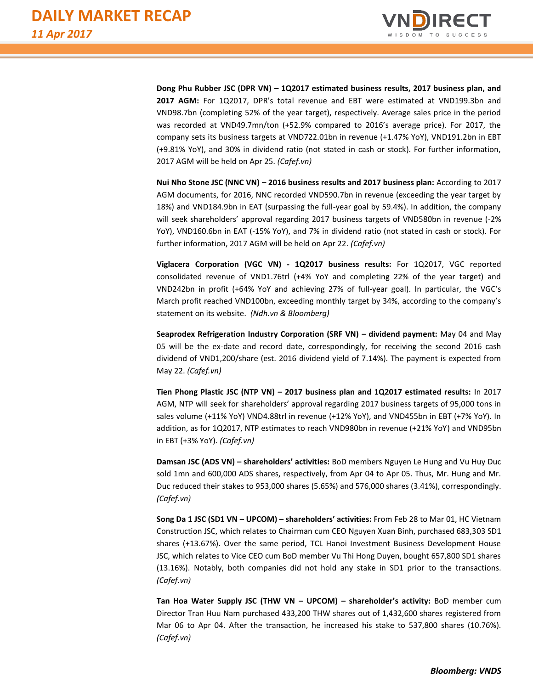

**Dong Phu Rubber JSC (DPR VN) – 1Q2017 estimated business results, 2017 business plan, and 2017 AGM:** For 1Q2017, DPR's total revenue and EBT were estimated at VND199.3bn and VND98.7bn (completing 52% of the year target), respectively. Average sales price in the period was recorded at VND49.7mn/ton (+52.9% compared to 2016's average price). For 2017, the company sets its business targets at VND722.01bn in revenue (+1.47% YoY), VND191.2bn in EBT (+9.81% YoY), and 30% in dividend ratio (not stated in cash or stock). For further information, 2017 AGM will be held on Apr 25. *(Cafef.vn)*

**Nui Nho Stone JSC (NNC VN) – 2016 business results and 2017 business plan:** According to 2017 AGM documents, for 2016, NNC recorded VND590.7bn in revenue (exceeding the year target by 18%) and VND184.9bn in EAT (surpassing the full-year goal by 59.4%). In addition, the company will seek shareholders' approval regarding 2017 business targets of VND580bn in revenue (-2% YoY), VND160.6bn in EAT (-15% YoY), and 7% in dividend ratio (not stated in cash or stock). For further information, 2017 AGM will be held on Apr 22. *(Cafef.vn)*

**Viglacera Corporation (VGC VN) - 1Q2017 business results:** For 1Q2017, VGC reported consolidated revenue of VND1.76trl (+4% YoY and completing 22% of the year target) and VND242bn in profit (+64% YoY and achieving 27% of full-year goal). In particular, the VGC's March profit reached VND100bn, exceeding monthly target by 34%, according to the company's statement on its website. *(Ndh.vn & Bloomberg)*

**Seaprodex Refrigeration Industry Corporation (SRF VN) – dividend payment:** May 04 and May 05 will be the ex-date and record date, correspondingly, for receiving the second 2016 cash dividend of VND1,200/share (est. 2016 dividend yield of 7.14%). The payment is expected from May 22. *(Cafef.vn)*

**Tien Phong Plastic JSC (NTP VN) – 2017 business plan and 1Q2017 estimated results:** In 2017 AGM, NTP will seek for shareholders' approval regarding 2017 business targets of 95,000 tons in sales volume (+11% YoY) VND4.88trl in revenue (+12% YoY), and VND455bn in EBT (+7% YoY). In addition, as for 1Q2017, NTP estimates to reach VND980bn in revenue (+21% YoY) and VND95bn in EBT (+3% YoY). *(Cafef.vn)* 

**Damsan JSC (ADS VN) – shareholders' activities:** BoD members Nguyen Le Hung and Vu Huy Duc sold 1mn and 600,000 ADS shares, respectively, from Apr 04 to Apr 05. Thus, Mr. Hung and Mr. Duc reduced their stakes to 953,000 shares (5.65%) and 576,000 shares (3.41%), correspondingly. *(Cafef.vn)*

**Song Da 1 JSC (SD1 VN – UPCOM) – shareholders' activities:** From Feb 28 to Mar 01, HC Vietnam Construction JSC, which relates to Chairman cum CEO Nguyen Xuan Binh, purchased 683,303 SD1 shares (+13.67%). Over the same period, TCL Hanoi Investment Business Development House JSC, which relates to Vice CEO cum BoD member Vu Thi Hong Duyen, bought 657,800 SD1 shares (13.16%). Notably, both companies did not hold any stake in SD1 prior to the transactions. *(Cafef.vn)*

**Tan Hoa Water Supply JSC (THW VN – UPCOM) – shareholder's activity:** BoD member cum Director Tran Huu Nam purchased 433,200 THW shares out of 1,432,600 shares registered from Mar 06 to Apr 04. After the transaction, he increased his stake to 537,800 shares (10.76%). *(Cafef.vn)*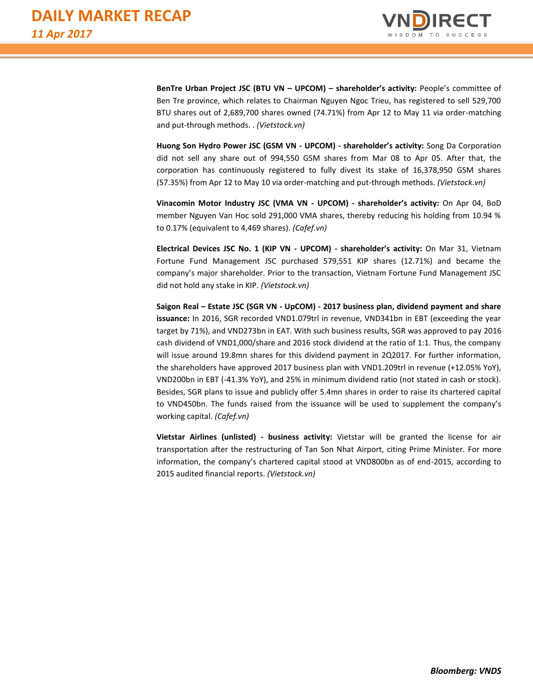

**BenTre Urban Project JSC (BTU VN – UPCOM) – shareholder's activity:** People's committee of Ben Tre province, which relates to Chairman Nguyen Ngoc Trieu, has registered to sell 529,700 BTU shares out of 2,689,700 shares owned (74.71%) from Apr 12 to May 11 via order-matching and put-through methods. . *(Vietstock.vn)*

**Huong Son Hydro Power JSC (GSM VN - UPCOM) - shareholder's activity:** Song Da Corporation did not sell any share out of 994,550 GSM shares from Mar 08 to Apr 05. After that, the corporation has continuously registered to fully divest its stake of 16,378,950 GSM shares (57.35%) from Apr 12 to May 10 via order-matching and put-through methods. *(Vietstock.vn)*

**Vinacomin Motor Industry JSC (VMA VN - UPCOM) - shareholder's activity:** On Apr 04, BoD member Nguyen Van Hoc sold 291,000 VMA shares, thereby reducing his holding from 10.94 % to 0.17% (equivalent to 4,469 shares). *(Cafef.vn)*

**Electrical Devices JSC No. 1 (KIP VN - UPCOM) - shareholder's activity:** On Mar 31, Vietnam Fortune Fund Management JSC purchased 579,551 KIP shares (12.71%) and became the company's major shareholder. Prior to the transaction, Vietnam Fortune Fund Management JSC did not hold any stake in KIP. *(Vietstock.vn)*

**Saigon Real – Estate JSC (SGR VN - UpCOM) - 2017 business plan, dividend payment and share issuance:** In 2016, SGR recorded VND1.079trl in revenue, VND341bn in EBT (exceeding the year target by 71%), and VND273bn in EAT. With such business results, SGR was approved to pay 2016 cash dividend of VND1,000/share and 2016 stock dividend at the ratio of 1:1. Thus, the company will issue around 19.8mn shares for this dividend payment in 2Q2017. For further information, the shareholders have approved 2017 business plan with VND1.209trl in revenue (+12.05% YoY), VND200bn in EBT (-41.3% YoY), and 25% in minimum dividend ratio (not stated in cash or stock). Besides, SGR plans to issue and publicly offer 5.4mn shares in order to raise its chartered capital to VND450bn. The funds raised from the issuance will be used to supplement the company's working capital. *(Cafef.vn)*

**Vietstar Airlines (unlisted) - business activity:** Vietstar will be granted the license for air transportation after the restructuring of Tan Son Nhat Airport, citing Prime Minister. For more information, the company's chartered capital stood at VND800bn as of end-2015, according to 2015 audited financial reports. *(Vietstock.vn)*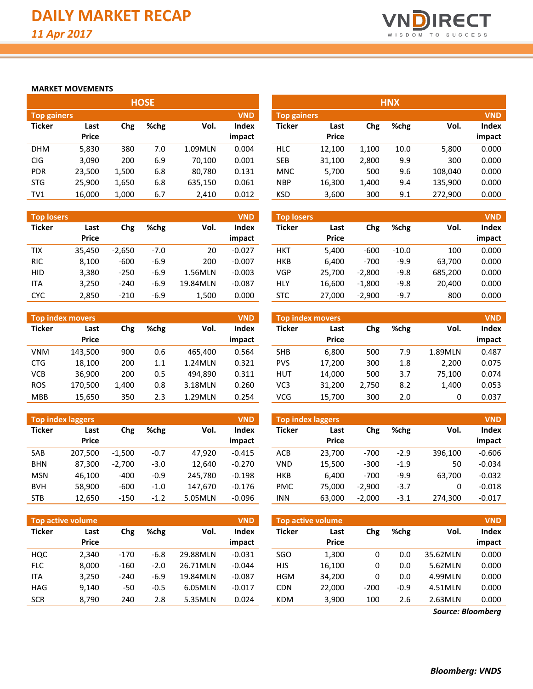

#### **MARKET MOVEMENTS**

|                                  | <b>HOSE</b>  |       |      |         |              |  |  |  |  |  |  |  |  |  |
|----------------------------------|--------------|-------|------|---------|--------------|--|--|--|--|--|--|--|--|--|
| <b>VND</b><br><b>Top gainers</b> |              |       |      |         |              |  |  |  |  |  |  |  |  |  |
| <b>Ticker</b>                    | Last         | Chg   | %chg | Vol.    | <b>Index</b> |  |  |  |  |  |  |  |  |  |
|                                  | <b>Price</b> |       |      |         | impact       |  |  |  |  |  |  |  |  |  |
| DHM                              | 5,830        | 380   | 7.0  | 1.09MLN | 0.004        |  |  |  |  |  |  |  |  |  |
| <b>CIG</b>                       | 3,090        | 200   | 6.9  | 70,100  | 0.001        |  |  |  |  |  |  |  |  |  |
| <b>PDR</b>                       | 23,500       | 1,500 | 6.8  | 80,780  | 0.131        |  |  |  |  |  |  |  |  |  |
| <b>STG</b>                       | 25,900       | 1,650 | 6.8  | 635,150 | 0.061        |  |  |  |  |  |  |  |  |  |
| TV1                              | 16,000       | 1,000 | 6.7  | 2,410   | 0.012        |  |  |  |  |  |  |  |  |  |

| <b>Top losers</b> |                      |          |        |          | <b>VND</b>             |
|-------------------|----------------------|----------|--------|----------|------------------------|
| <b>Ticker</b>     | Last<br><b>Price</b> | Chg      | %chg   | Vol.     | <b>Index</b><br>impact |
| TIX               | 35,450               | $-2,650$ | $-7.0$ | 20       | $-0.027$               |
| <b>RIC</b>        | 8,100                | $-600$   | $-6.9$ | 200      | $-0.007$               |
| HID               | 3,380                | $-250$   | $-6.9$ | 1.56MLN  | $-0.003$               |
| ITA               | 3,250                | $-240$   | $-6.9$ | 19.84MLN | $-0.087$               |
| CYC               | 2,850                | $-210$   | $-6.9$ | 1,500    | 0.000                  |

| <b>Top index movers</b><br><b>VND</b> |              |       |      |         |        |  |  |  |  |  |  |  |
|---------------------------------------|--------------|-------|------|---------|--------|--|--|--|--|--|--|--|
| <b>Ticker</b>                         | Last         | Chg   | %chg | Vol.    | Index  |  |  |  |  |  |  |  |
|                                       | <b>Price</b> |       |      |         | impact |  |  |  |  |  |  |  |
| VNM                                   | 143,500      | 900   | 0.6  | 465,400 | 0.564  |  |  |  |  |  |  |  |
| CTG                                   | 18,100       | 200   | 1.1  | 1.24MLN | 0.321  |  |  |  |  |  |  |  |
| <b>VCB</b>                            | 36,900       | 200   | 0.5  | 494.890 | 0.311  |  |  |  |  |  |  |  |
| <b>ROS</b>                            | 170,500      | 1,400 | 0.8  | 3.18MLN | 0.260  |  |  |  |  |  |  |  |
| <b>MBB</b>                            | 15,650       | 350   | 2.3  | 1.29MLN | 0.254  |  |  |  |  |  |  |  |

|               | <b>Top index laggers</b><br><b>VND</b> |          |        |         |              |  |  |  |  |  |  |  |  |
|---------------|----------------------------------------|----------|--------|---------|--------------|--|--|--|--|--|--|--|--|
| <b>Ticker</b> | Last                                   | Chg      | %chg   | Vol.    | <b>Index</b> |  |  |  |  |  |  |  |  |
|               | Price                                  |          |        |         | impact       |  |  |  |  |  |  |  |  |
| <b>SAB</b>    | 207,500                                | $-1,500$ | $-0.7$ | 47.920  | $-0.415$     |  |  |  |  |  |  |  |  |
| <b>BHN</b>    | 87,300                                 | $-2,700$ | $-3.0$ | 12,640  | $-0.270$     |  |  |  |  |  |  |  |  |
| MSN           | 46,100                                 | -400     | $-0.9$ | 245,780 | $-0.198$     |  |  |  |  |  |  |  |  |
| <b>BVH</b>    | 58,900                                 | -600     | $-1.0$ | 147,670 | $-0.176$     |  |  |  |  |  |  |  |  |
| <b>STB</b>    | 12,650                                 | $-150$   | $-1.2$ | 5.05MLN | $-0.096$     |  |  |  |  |  |  |  |  |

|                   | --,--        |        |        |          |            |               | -----                    | -, - - - |        |          |            |
|-------------------|--------------|--------|--------|----------|------------|---------------|--------------------------|----------|--------|----------|------------|
|                   |              |        |        |          |            |               |                          |          |        |          |            |
| Top active volume |              |        |        |          | <b>VND</b> |               | <b>Top active volume</b> |          |        |          | <b>VND</b> |
| <b>Ticker</b>     | Last         | Chg    | %chg   | Vol.     | Index      | <b>Ticker</b> | Last                     | Chg      | %chg   | Vol.     | Index      |
|                   | <b>Price</b> |        |        |          | impact     |               | <b>Price</b>             |          |        |          | impact     |
| HQC               | 2.340        | $-170$ | -6.8   | 29.88MLN | $-0.031$   | SGO           | 1,300                    | 0        | 0.0    | 35.62MLN | 0.000      |
| <b>FLC</b>        | 8,000        | $-160$ | $-2.0$ | 26.71MLN | $-0.044$   | <b>HJS</b>    | 16,100                   | 0        | 0.0    | 5.62MLN  | 0.000      |
| <b>ITA</b>        | 3,250        | $-240$ | -6.9   | 19.84MLN | $-0.087$   | <b>HGM</b>    | 34,200                   | 0        | 0.0    | 4.99MLN  | 0.000      |
| <b>HAG</b>        | 9,140        | -50    | $-0.5$ | 6.05MLN  | $-0.017$   | <b>CDN</b>    | 22,000                   | $-200$   | $-0.9$ | 4.51MLN  | 0.000      |
| <b>SCR</b>        | 8.790        | 240    | 2.8    | 5.35MLN  | 0.024      | <b>KDM</b>    | 3.900                    | 100      | 2.6    | 2.63MLN  | 0.000      |

|                                  |              |       | <b>HOSE</b> |         |        |            |                                  |       | <b>HNX</b> |         |        |  |
|----------------------------------|--------------|-------|-------------|---------|--------|------------|----------------------------------|-------|------------|---------|--------|--|
| <b>VND</b><br><b>Top gainers</b> |              |       |             |         |        |            | <b>VND</b><br><b>Top gainers</b> |       |            |         |        |  |
| Ticker                           | Last         | Chg   | %chg        | Vol.    | Index  | Ticker     | Last                             | Chg   | %chg       | Vol.    | Index  |  |
|                                  | <b>Price</b> |       |             |         | impact |            | <b>Price</b>                     |       |            |         | impact |  |
| <b>DHM</b>                       | 5,830        | 380   | 7.0         | 1.09MLN | 0.004  | <b>HLC</b> | 12,100                           | 1,100 | 10.0       | 5,800   | 0.000  |  |
| CIG                              | 3,090        | 200   | 6.9         | 70,100  | 0.001  | <b>SEB</b> | 31,100                           | 2,800 | 9.9        | 300     | 0.000  |  |
| <b>PDR</b>                       | 23,500       | 1,500 | 6.8         | 80,780  | 0.131  | <b>MNC</b> | 5,700                            | 500   | 9.6        | 108,040 | 0.000  |  |
| STG                              | 25,900       | 1,650 | 6.8         | 635,150 | 0.061  | <b>NBP</b> | 16,300                           | 1,400 | 9.4        | 135,900 | 0.000  |  |
| TV1                              | 16,000       | 1,000 | 6.7         | 2,410   | 0.012  | <b>KSD</b> | 3,600                            | 300   | 9.1        | 272,900 | 0.000  |  |

| <b>Top losers</b> |                      |          |        |          | <b>VND</b>      | <b>Top losers</b> |                      |          |         |         | <b>VND</b>      |
|-------------------|----------------------|----------|--------|----------|-----------------|-------------------|----------------------|----------|---------|---------|-----------------|
| Ticker            | Last<br><b>Price</b> | Chg      | %chg   | Vol.     | Index<br>impact | Ticker            | Last<br><b>Price</b> | Chg      | %chg    | Vol.    | Index<br>impact |
| TIX               | 35,450               | $-2,650$ | $-7.0$ | 20       | $-0.027$        | <b>HKT</b>        | 5,400                | $-600$   | $-10.0$ | 100     | 0.000           |
| <b>RIC</b>        | 8,100                | $-600$   | $-6.9$ | 200      | $-0.007$        | <b>HKB</b>        | 6.400                | $-700$   | $-9.9$  | 63,700  | 0.000           |
| <b>HID</b>        | 3,380                | $-250$   | $-6.9$ | 1.56MLN  | $-0.003$        | VGP               | 25.700               | $-2.800$ | $-9.8$  | 685,200 | 0.000           |
| <b>ITA</b>        | 3,250                | $-240$   | $-6.9$ | 19.84MLN | $-0.087$        | <b>HLY</b>        | 16,600               | $-1,800$ | $-9.8$  | 20,400  | 0.000           |
| CYC               | 2,850                | $-210$   | $-6.9$ | 1.500    | 0.000           | STC               | 27,000               | $-2,900$ | $-9.7$  | 800     | 0.000           |

|            | <b>Top index movers</b> |       |      |         | <b>VND</b>   |            | <b>Top index movers</b> |       |      |         | <b>VND</b> |
|------------|-------------------------|-------|------|---------|--------------|------------|-------------------------|-------|------|---------|------------|
| Ticker     | Last                    | Chg   | %chg | Vol.    | <b>Index</b> | Ticker     | Last                    | Chg   | %chg | Vol.    | Index      |
|            | <b>Price</b>            |       |      |         | impact       |            | <b>Price</b>            |       |      |         | impact     |
| VNM        | 143,500                 | 900   | 0.6  | 465.400 | 0.564        | <b>SHB</b> | 6,800                   | 500   | 7.9  | 1.89MLN | 0.487      |
| <b>CTG</b> | 18,100                  | 200   | 1.1  | 1.24MLN | 0.321        | <b>PVS</b> | 17,200                  | 300   | 1.8  | 2,200   | 0.075      |
| VCB        | 36.900                  | 200   | 0.5  | 494.890 | 0.311        | <b>HUT</b> | 14,000                  | 500   | 3.7  | 75,100  | 0.074      |
| <b>ROS</b> | 170,500                 | 1.400 | 0.8  | 3.18MLN | 0.260        | VC3        | 31.200                  | 2.750 | 8.2  | 1,400   | 0.053      |
| <b>MBB</b> | 15,650                  | 350   | 2.3  | 1.29MLN | 0.254        | <b>VCG</b> | 15,700                  | 300   | 2.0  | 0       | 0.037      |

|            | <b>Top index laggers</b> |          |        |         | <b>VND</b>             | Top index laggers |                      |          |        |         |                 |  |
|------------|--------------------------|----------|--------|---------|------------------------|-------------------|----------------------|----------|--------|---------|-----------------|--|
| Ticker     | Last<br><b>Price</b>     | Chg      | %chg   | Vol.    | <b>Index</b><br>impact | <b>Ticker</b>     | Last<br><b>Price</b> | Chg      | %chg   | Vol.    | Index<br>impact |  |
| SAB        | 207.500                  | $-1.500$ | $-0.7$ | 47.920  | $-0.415$               | <b>ACB</b>        | 23.700               | $-700$   | $-2.9$ | 396.100 | $-0.606$        |  |
| <b>BHN</b> | 87,300                   | $-2,700$ | $-3.0$ | 12.640  | $-0.270$               | VND               | 15,500               | $-300$   | $-1.9$ | 50      | $-0.034$        |  |
| <b>MSN</b> | 46,100                   | $-400$   | $-0.9$ | 245.780 | $-0.198$               | <b>HKB</b>        | 6.400                | $-700$   | $-9.9$ | 63,700  | $-0.032$        |  |
| <b>BVH</b> | 58,900                   | $-600$   | $-1.0$ | 147.670 | $-0.176$               | <b>PMC</b>        | 75,000               | $-2.900$ | $-3.7$ |         | $-0.018$        |  |
| <b>STB</b> | 12,650                   | $-150$   | $-1.2$ | 5.05MLN | $-0.096$               | <b>INN</b>        | 63,000               | $-2,000$ | $-3.1$ | 274,300 | $-0.017$        |  |

| <b>Top active volume</b> |              |        |        |          | <b>VND</b>   |               | Top active volume |        | <b>VND</b> |          |        |  |
|--------------------------|--------------|--------|--------|----------|--------------|---------------|-------------------|--------|------------|----------|--------|--|
| Ticker                   | Last         | Chg    | %chg   | Vol.     | <b>Index</b> | <b>Ticker</b> | Last              | Chg    | %chg       | Vol.     | Index  |  |
|                          | <b>Price</b> |        |        |          | impact       |               | <b>Price</b>      |        |            |          | impact |  |
| HQC                      | 2.340        | $-170$ | $-6.8$ | 29.88MLN | $-0.031$     | SGO           | 1,300             | 0      | 0.0        | 35.62MLN | 0.000  |  |
| <b>FLC</b>               | 8,000        | $-160$ | $-2.0$ | 26.71MLN | $-0.044$     | <b>HJS</b>    | 16,100            | 0      | 0.0        | 5.62MLN  | 0.000  |  |
| <b>ITA</b>               | 3,250        | $-240$ | $-6.9$ | 19.84MLN | $-0.087$     | <b>HGM</b>    | 34,200            | 0      | 0.0        | 4.99MLN  | 0.000  |  |
| HAG                      | 9,140        | -50    | $-0.5$ | 6.05MLN  | $-0.017$     | <b>CDN</b>    | 22,000            | $-200$ | $-0.9$     | 4.51MLN  | 0.000  |  |
| <b>SCR</b>               | 8,790        | 240    | 2.8    | 5.35MLN  | 0.024        | <b>KDM</b>    | 3,900             | 100    | 2.6        | 2.63MLN  | 0.000  |  |

*Source: Bloomberg*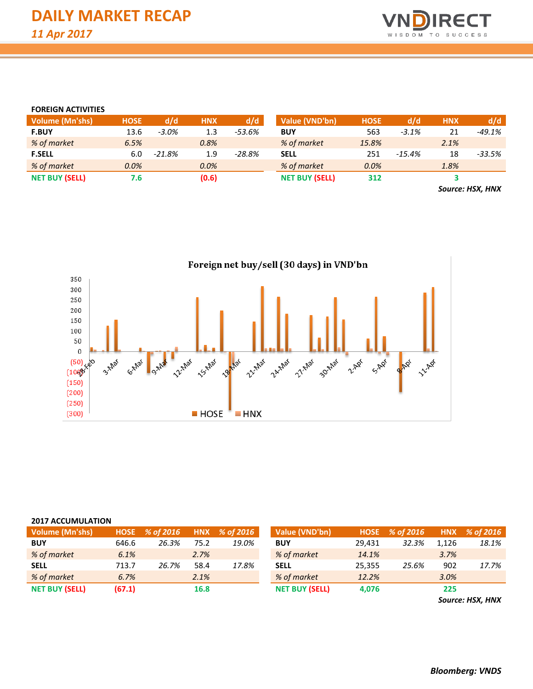

#### **FOREIGN ACTIVITIES**

| <b>Volume (Mn'shs)</b> | <b>HOSE</b> | d/d      | <b>HNX</b> | d/d      | Value (VND'bn)        | <b>HOSE</b> | d/d      | <b>HNX</b> | d/d                                                     |
|------------------------|-------------|----------|------------|----------|-----------------------|-------------|----------|------------|---------------------------------------------------------|
| <b>F.BUY</b>           | 13.6        | $-3.0\%$ | 1.3        | -53.6%   | <b>BUY</b>            | 563         | $-3.1%$  | 21         | -49.1%                                                  |
| % of market            | 6.5%        |          | 0.8%       |          | % of market           | 15.8%       |          | 2.1%       |                                                         |
| <b>F.SELL</b>          | 6.0         | $-21.8%$ | 1.9        | $-28.8%$ | <b>SELL</b>           | 251         | $-15.4%$ | 18         | $-33.5%$                                                |
| % of market            | 0.0%        |          | 0.0%       |          | % of market           | 0.0%        |          | 1.8%       |                                                         |
| <b>NET BUY (SELL)</b>  | 7.6         |          | (0.6)      |          | <b>NET BUY (SELL)</b> | 312         |          |            |                                                         |
|                        |             |          |            |          |                       |             |          |            | $\sim$ $\sim$ $\sim$ $\sim$ $\sim$ $\sim$ $\sim$ $\sim$ |

*Source: HSX, HNX*



| <b>2017 ACCUMULATION</b> |             |           |            |           |                       |             |           |            |           |  |  |  |  |
|--------------------------|-------------|-----------|------------|-----------|-----------------------|-------------|-----------|------------|-----------|--|--|--|--|
| <b>Volume (Mn'shs)</b>   | <b>HOSE</b> | % of 2016 | <b>HNX</b> | % of 2016 | Value (VND'bn)        | <b>HOSE</b> | % of 2016 | <b>HNX</b> | % of 2016 |  |  |  |  |
| <b>BUY</b>               | 646.6       | 26.3%     | 75.2       | 19.0%     | <b>BUY</b>            | 29,431      | 32.3%     | 1,126      | 18.1%     |  |  |  |  |
| % of market              | 6.1%        |           | 2.7%       |           | % of market           | 14.1%       |           | 3.7%       |           |  |  |  |  |
| <b>SELL</b>              | 713.7       | 26.7%     | 58.4       | 17.8%     | <b>SELL</b>           | 25,355      | 25.6%     | 902        | 17.7%     |  |  |  |  |
| % of market              | 6.7%        |           | 2.1%       |           | % of market           | 12.2%       |           | 3.0%       |           |  |  |  |  |
| <b>NET BUY (SELL)</b>    | (67.1)      |           | 16.8       |           | <b>NET BUY (SELL)</b> | 4,076       |           | 225        |           |  |  |  |  |

*Source: HSX, HNX*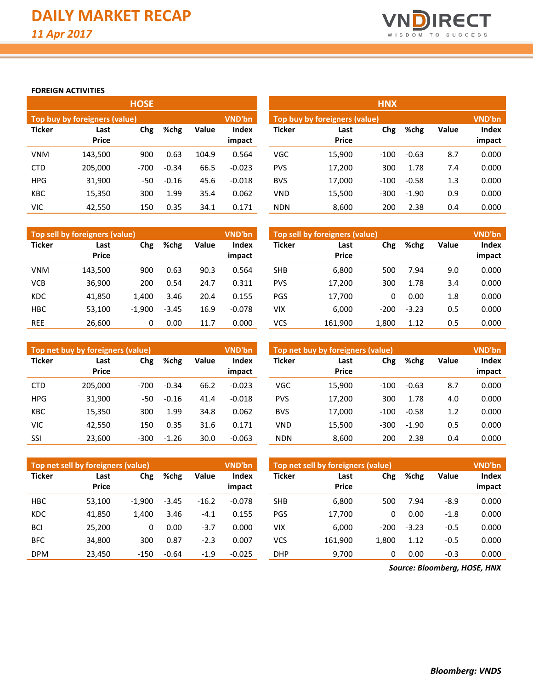

### **FOREIGN ACTIVITIES**

|               |                               | <b>HOSE</b> |         |       |                 | <b>HNX</b>    |                               |        |         |       |                        |  |
|---------------|-------------------------------|-------------|---------|-------|-----------------|---------------|-------------------------------|--------|---------|-------|------------------------|--|
|               | Top buy by foreigners (value) |             |         |       | VND'bn          |               | Top buy by foreigners (value) |        |         |       | <b>VND'bn</b>          |  |
| <b>Ticker</b> | Last<br><b>Price</b>          | Chg         | %chg    | Value | Index<br>impact | <b>Ticker</b> | Last<br><b>Price</b>          | Chg    | %chg    | Value | <b>Index</b><br>impact |  |
| <b>VNM</b>    | 143,500                       | 900         | 0.63    | 104.9 | 0.564           | <b>VGC</b>    | 15,900                        | $-100$ | $-0.63$ | 8.7   | 0.000                  |  |
| <b>CTD</b>    | 205,000                       | $-700$      | $-0.34$ | 66.5  | $-0.023$        | <b>PVS</b>    | 17,200                        | 300    | 1.78    | 7.4   | 0.000                  |  |
| <b>HPG</b>    | 31,900                        | -50         | $-0.16$ | 45.6  | $-0.018$        | <b>BVS</b>    | 17,000                        | $-100$ | $-0.58$ | 1.3   | 0.000                  |  |
| <b>KBC</b>    | 15,350                        | 300         | 1.99    | 35.4  | 0.062           | <b>VND</b>    | 15,500                        | $-300$ | $-1.90$ | 0.9   | 0.000                  |  |
| VIC           | 42.550                        | 150         | 0.35    | 34.1  | 0.171           | <b>NDN</b>    | 8.600                         | 200    | 2.38    | 0.4   | 0.000                  |  |

|               | Top sell by foreigners (value) |          |         |       | <b>VND'bn</b>          | Top sell by foreigners (value)<br><b>VND'bn</b> |                      |        |         |       |                 |
|---------------|--------------------------------|----------|---------|-------|------------------------|-------------------------------------------------|----------------------|--------|---------|-------|-----------------|
| <b>Ticker</b> | Last<br><b>Price</b>           | Chg      | %chg    | Value | <b>Index</b><br>impact | Ticker                                          | Last<br><b>Price</b> | Chg    | %chg    | Value | Index<br>impact |
| <b>VNM</b>    | 143.500                        | 900      | 0.63    | 90.3  | 0.564                  | SHB                                             | 6,800                | 500    | 7.94    | 9.0   | 0.000           |
| <b>VCB</b>    | 36,900                         | 200      | 0.54    | 24.7  | 0.311                  | <b>PVS</b>                                      | 17,200               | 300    | 1.78    | 3.4   | 0.000           |
| <b>KDC</b>    | 41,850                         | 1.400    | 3.46    | 20.4  | 0.155                  | PGS                                             | 17,700               | 0      | 0.00    | 1.8   | 0.000           |
| <b>HBC</b>    | 53.100                         | $-1.900$ | $-3.45$ | 16.9  | $-0.078$               | VIX                                             | 6,000                | $-200$ | $-3.23$ | 0.5   | 0.000           |
| <b>REE</b>    | 26.600                         | 0        | 0.00    | 11.7  | 0.000                  | VCS                                             | 161,900              | 1.800  | 1.12    | 0.5   | 0.000           |

|               | Top net buy by foreigners (value)   |        |         |              | <b>VND'bn</b>          | Top net buy by foreigners (value) |                      | <b>VND'bn</b> |         |              |                 |
|---------------|-------------------------------------|--------|---------|--------------|------------------------|-----------------------------------|----------------------|---------------|---------|--------------|-----------------|
| <b>Ticker</b> | %chg<br>Chg<br>Last<br><b>Price</b> |        |         | <b>Value</b> | <b>Index</b><br>impact | <b>Ticker</b>                     | Last<br><b>Price</b> | Chg           | %chg    | <b>Value</b> | Index<br>impact |
| <b>CTD</b>    | 205.000                             | $-700$ | $-0.34$ | 66.2         | $-0.023$               | <b>VGC</b>                        | 15.900               | $-100$        | $-0.63$ | 8.7          | 0.000           |
| <b>HPG</b>    | 31.900                              | -50    | $-0.16$ | 41.4         | $-0.018$               | <b>PVS</b>                        | 17.200               | 300           | 1.78    | 4.0          | 0.000           |
| <b>KBC</b>    | 15,350                              | 300    | 1.99    | 34.8         | 0.062                  | <b>BVS</b>                        | 17,000               | $-100$        | $-0.58$ | 1.2          | 0.000           |
| <b>VIC</b>    | 42.550                              | 150    | 0.35    | 31.6         | 0.171                  | <b>VND</b>                        | 15.500               | $-300$        | $-1.90$ | 0.5          | 0.000           |
| SSI           | 23,600                              | $-300$ | $-1.26$ | 30.0         | $-0.063$               | <b>NDN</b>                        | 8,600                | 200           | 2.38    | 0.4          | 0.000           |

|               | Top net sell by foreigners (value) |          |         |         | <b>VND'bn</b> |               | Top net sell by foreigners (value) |        |         |        |        |  |
|---------------|------------------------------------|----------|---------|---------|---------------|---------------|------------------------------------|--------|---------|--------|--------|--|
| <b>Ticker</b> | Last<br><b>Price</b>               | Chg      | %chg    | Value   | <b>Index</b>  | <b>Ticker</b> | Last<br><b>Price</b>               | Chg    | %chg    | Value  | Index  |  |
|               |                                    |          |         |         | impact        |               |                                    |        |         |        | impact |  |
| <b>HBC</b>    | 53,100                             | $-1.900$ | $-3.45$ | $-16.2$ | $-0.078$      | <b>SHB</b>    | 6,800                              | 500    | 7.94    | $-8.9$ | 0.000  |  |
| <b>KDC</b>    | 41,850                             | 1.400    | 3.46    | $-4.1$  | 0.155         | <b>PGS</b>    | 17.700                             | 0      | 0.00    | $-1.8$ | 0.000  |  |
| <b>BCI</b>    | 25,200                             | 0        | 0.00    | $-3.7$  | 0.000         | VIX           | 6,000                              | $-200$ | $-3.23$ | $-0.5$ | 0.000  |  |
| <b>BFC</b>    | 34,800                             | 300      | 0.87    | $-2.3$  | 0.007         | VCS           | 161.900                            | 1,800  | 1.12    | $-0.5$ | 0.000  |  |
| <b>DPM</b>    | 23.450                             | $-150$   | $-0.64$ | $-1.9$  | $-0.025$      | DHP           | 9.700                              | 0      | 0.00    | $-0.3$ | 0.000  |  |

*Source: Bloomberg, HOSE, HNX*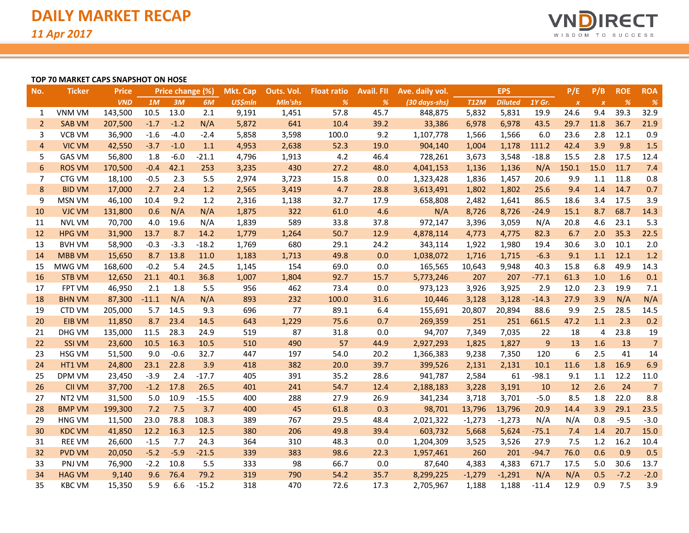

#### **TOP 70 MARKET CAPS SNAPSHOT ON HOSE**

| No.             | <b>Ticker</b> | <b>Price</b> |         | Price change (%) |         | <b>Mkt. Cap</b> | Outs. Vol. | <b>Float ratio</b> | <b>Avail</b> . Fll | Ave. daily vol. |             | <b>EPS</b>     |         | P/E              | P/B              | <b>ROE</b> | <b>ROA</b>     |
|-----------------|---------------|--------------|---------|------------------|---------|-----------------|------------|--------------------|--------------------|-----------------|-------------|----------------|---------|------------------|------------------|------------|----------------|
|                 |               | <b>VND</b>   | 1M      | 3M               | 6M      | <b>US\$mln</b>  | Mln'shs    | %                  | %                  | (30 days-shs)   | <b>T12M</b> | <b>Diluted</b> | 1Y Gr.  | $\boldsymbol{x}$ | $\boldsymbol{x}$ | %          | $\%$           |
| 1               | <b>VNM VM</b> | 143,500      | 10.5    | 13.0             | 2.1     | 9,191           | 1,451      | 57.8               | 45.7               | 848,875         | 5,832       | 5,831          | 19.9    | 24.6             | 9.4              | 39.3       | 32.9           |
| $\overline{2}$  | <b>SAB VM</b> | 207,500      | $-1.7$  | $-1.2$           | N/A     | 5,872           | 641        | 10.4               | 39.2               | 33,386          | 6,978       | 6,978          | 43.5    | 29.7             | 11.8             | 36.7       | 21.9           |
| 3               | <b>VCB VM</b> | 36,900       | $-1.6$  | $-4.0$           | $-2.4$  | 5,858           | 3,598      | 100.0              | 9.2                | 1,107,778       | 1,566       | 1,566          | 6.0     | 23.6             | 2.8              | 12.1       | 0.9            |
| $\overline{4}$  | <b>VIC VM</b> | 42,550       | $-3.7$  | $-1.0$           | 1.1     | 4,953           | 2,638      | 52.3               | 19.0               | 904,140         | 1,004       | 1,178          | 111.2   | 42.4             | 3.9              | 9.8        | 1.5            |
| 5               | <b>GAS VM</b> | 56,800       | 1.8     | $-6.0$           | $-21.1$ | 4,796           | 1,913      | 4.2                | 46.4               | 728,261         | 3,673       | 3,548          | $-18.8$ | 15.5             | 2.8              | 17.5       | 12.4           |
| $6\phantom{1}6$ | <b>ROS VM</b> | 170,500      | $-0.4$  | 42.1             | 253     | 3,235           | 430        | 27.2               | 48.0               | 4,041,153       | 1,136       | 1,136          | N/A     | 150.1            | 15.0             | 11.7       | 7.4            |
| 7               | CTG VM        | 18,100       | $-0.5$  | 2.3              | 5.5     | 2,974           | 3,723      | 15.8               | 0.0                | 1,323,428       | 1,836       | 1,457          | 20.6    | 9.9              | 1.1              | 11.8       | 0.8            |
| 8               | <b>BID VM</b> | 17,000       | 2.7     | 2.4              | 1.2     | 2,565           | 3,419      | 4.7                | 28.8               | 3,613,491       | 1,802       | 1,802          | 25.6    | 9.4              | 1.4              | 14.7       | 0.7            |
| 9               | <b>MSN VM</b> | 46,100       | 10.4    | 9.2              | 1.2     | 2,316           | 1,138      | 32.7               | 17.9               | 658,808         | 2,482       | 1,641          | 86.5    | 18.6             | 3.4              | 17.5       | 3.9            |
| 10              | <b>VJC VM</b> | 131,800      | 0.6     | N/A              | N/A     | 1,875           | 322        | 61.0               | 4.6                | N/A             | 8,726       | 8,726          | $-24.9$ | 15.1             | 8.7              | 68.7       | 14.3           |
| 11              | <b>NVL VM</b> | 70,700       | 4.0     | 19.6             | N/A     | 1,839           | 589        | 33.8               | 37.8               | 972,147         | 3,396       | 3,059          | N/A     | 20.8             | 4.6              | 23.1       | 5.3            |
| 12              | <b>HPG VM</b> | 31,900       | 13.7    | 8.7              | 14.2    | 1,779           | 1,264      | 50.7               | 12.9               | 4,878,114       | 4,773       | 4,775          | 82.3    | 6.7              | 2.0              | 35.3       | 22.5           |
| 13              | <b>BVH VM</b> | 58,900       | $-0.3$  | $-3.3$           | $-18.2$ | 1,769           | 680        | 29.1               | 24.2               | 343,114         | 1,922       | 1,980          | 19.4    | 30.6             | 3.0              | 10.1       | 2.0            |
| 14              | <b>MBB VM</b> | 15,650       | 8.7     | 13.8             | 11.0    | 1,183           | 1,713      | 49.8               | 0.0                | 1,038,072       | 1,716       | 1,715          | $-6.3$  | 9.1              | 1.1              | 12.1       | 1.2            |
| 15              | MWG VM        | 168,600      | $-0.2$  | 5.4              | 24.5    | 1,145           | 154        | 69.0               | 0.0                | 165,565         | 10,643      | 9,948          | 40.3    | 15.8             | 6.8              | 49.9       | 14.3           |
| 16              | <b>STB VM</b> | 12,650       | 21.1    | 40.1             | 36.8    | 1,007           | 1,804      | 92.7               | 15.7               | 5,773,246       | 207         | 207            | $-77.1$ | 61.3             | 1.0              | 1.6        | 0.1            |
| 17              | <b>FPT VM</b> | 46,950       | 2.1     | 1.8              | 5.5     | 956             | 462        | 73.4               | 0.0                | 973,123         | 3,926       | 3,925          | 2.9     | 12.0             | 2.3              | 19.9       | 7.1            |
| 18              | <b>BHN VM</b> | 87,300       | $-11.1$ | N/A              | N/A     | 893             | 232        | 100.0              | 31.6               | 10,446          | 3,128       | 3,128          | $-14.3$ | 27.9             | 3.9              | N/A        | N/A            |
| 19              | <b>CTD VM</b> | 205,000      | 5.7     | 14.5             | 9.3     | 696             | 77         | 89.1               | 6.4                | 155,691         | 20,807      | 20,894         | 88.6    | 9.9              | 2.5              | 28.5       | 14.5           |
| 20              | <b>EIB VM</b> | 11,850       | 8.7     | 23.4             | 14.5    | 643             | 1,229      | 75.6               | 0.7                | 269,359         | 251         | 251            | 661.5   | 47.2             | 1.1              | 2.3        | 0.2            |
| 21              | DHG VM        | 135,000      | 11.5    | 28.3             | 24.9    | 519             | 87         | 31.8               | 0.0                | 94,707          | 7,349       | 7,035          | 22      | 18               | $\overline{4}$   | 23.8       | 19             |
| 22              | <b>SSI VM</b> | 23,600       | 10.5    | 16.3             | 10.5    | 510             | 490        | 57                 | 44.9               | 2,927,293       | 1,825       | 1,827          | 9       | 13               | 1.6              | 13         | $\overline{7}$ |
| 23              | <b>HSG VM</b> | 51,500       | 9.0     | $-0.6$           | 32.7    | 447             | 197        | 54.0               | 20.2               | 1,366,383       | 9,238       | 7,350          | 120     | 6                | 2.5              | 41         | 14             |
| 24              | HT1 VM        | 24,800       | 23.1    | 22.8             | 3.9     | 418             | 382        | 20.0               | 39.7               | 399,526         | 2,131       | 2,131          | 10.1    | 11.6             | 1.8              | 16.9       | 6.9            |
| 25              | DPM VM        | 23,450       | $-3.9$  | 2.4              | $-17.7$ | 405             | 391        | 35.2               | 28.6               | 941,787         | 2,584       | 61             | $-98.1$ | 9.1              | 1.1              | 12.2       | 11.0           |
| 26              | <b>CII VM</b> | 37,700       | $-1.2$  | 17.8             | 26.5    | 401             | 241        | 54.7               | 12.4               | 2,188,183       | 3,228       | 3,191          | 10      | 12               | 2.6              | 24         | $\overline{7}$ |
| 27              | NT2 VM        | 31,500       | 5.0     | 10.9             | $-15.5$ | 400             | 288        | 27.9               | 26.9               | 341,234         | 3,718       | 3,701          | $-5.0$  | 8.5              | 1.8              | 22.0       | 8.8            |
| 28              | <b>BMP VM</b> | 199,300      | 7.2     | 7.5              | 3.7     | 400             | 45         | 61.8               | 0.3                | 98,701          | 13,796      | 13,796         | 20.9    | 14.4             | 3.9              | 29.1       | 23.5           |
| 29              | <b>HNG VM</b> | 11,500       | 23.0    | 78.8             | 108.3   | 389             | 767        | 29.5               | 48.4               | 2,021,322       | $-1,273$    | $-1,273$       | N/A     | N/A              | 0.8              | $-9.5$     | $-3.0$         |
| 30              | <b>KDC VM</b> | 41,850       | 12.2    | 16.3             | 12.5    | 380             | 206        | 49.8               | 39.4               | 603,732         | 5,668       | 5,624          | $-75.1$ | 7.4              | 1.4              | 20.7       | 15.0           |
| 31              | <b>REE VM</b> | 26,600       | $-1.5$  | 7.7              | 24.3    | 364             | 310        | 48.3               | 0.0                | 1,204,309       | 3,525       | 3,526          | 27.9    | 7.5              | 1.2              | 16.2       | 10.4           |
| 32              | <b>PVD VM</b> | 20,050       | $-5.2$  | $-5.9$           | $-21.5$ | 339             | 383        | 98.6               | 22.3               | 1,957,461       | 260         | 201            | $-94.7$ | 76.0             | 0.6              | 0.9        | 0.5            |
| 33              | PNJ VM        | 76,900       | $-2.2$  | 10.8             | 5.5     | 333             | 98         | 66.7               | 0.0                | 87,640          | 4,383       | 4,383          | 671.7   | 17.5             | 5.0              | 30.6       | 13.7           |
| 34              | <b>HAG VM</b> | 9,140        | 9.6     | 76.4             | 79.2    | 319             | 790        | 54.2               | 35.7               | 8,299,225       | $-1,279$    | $-1,291$       | N/A     | N/A              | 0.5              | $-7.2$     | $-2.0$         |
| 35              | <b>KBC VM</b> | 15,350       | 5.9     | 6.6              | $-15.2$ | 318             | 470        | 72.6               | 17.3               | 2,705,967       | 1,188       | 1,188          | $-11.4$ | 12.9             | 0.9              | 7.5        | 3.9            |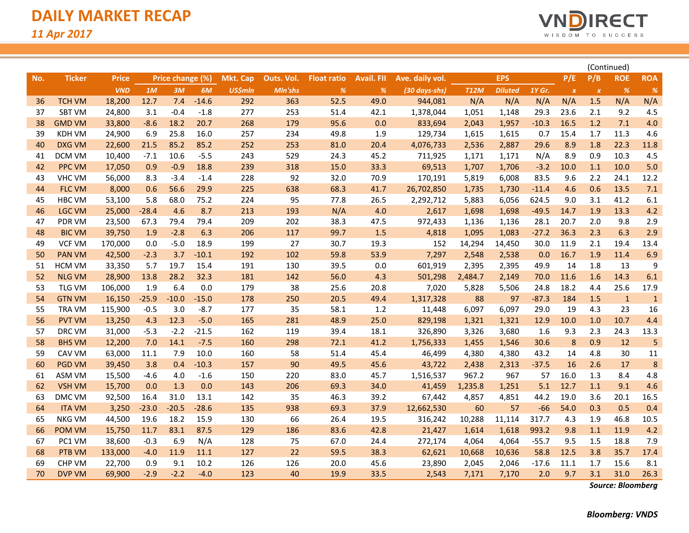

|     |               |              |         |                  |         |                 |            |                    |                   |                 |             |                |         |              |                  |              |            | (Continued) |  |
|-----|---------------|--------------|---------|------------------|---------|-----------------|------------|--------------------|-------------------|-----------------|-------------|----------------|---------|--------------|------------------|--------------|------------|-------------|--|
| No. | <b>Ticker</b> | <b>Price</b> |         | Price change (%) |         | <b>Mkt. Cap</b> | Outs. Vol. | <b>Float ratio</b> | <b>Avail. FII</b> | Ave. daily vol. |             | <b>EPS</b>     |         | P/E          | P/B              | <b>ROE</b>   | <b>ROA</b> |             |  |
|     |               | <b>VND</b>   | 1M      | 3M               | 6M      | <b>US\$mln</b>  | Mln'shs    | %                  | %                 | (30 days-shs)   | <b>T12M</b> | <b>Diluted</b> | 1Y Gr.  | $\pmb{\chi}$ | $\boldsymbol{x}$ | %            | %          |             |  |
| 36  | <b>TCH VM</b> | 18,200       | 12.7    | 7.4              | $-14.6$ | 292             | 363        | 52.5               | 49.0              | 944,081         | N/A         | N/A            | N/A     | N/A          | 1.5              | N/A          | N/A        |             |  |
| 37  | <b>SBT VM</b> | 24,800       | 3.1     | $-0.4$           | $-1.8$  | 277             | 253        | 51.4               | 42.1              | 1,378,044       | 1,051       | 1,148          | 29.3    | 23.6         | 2.1              | 9.2          | 4.5        |             |  |
| 38  | <b>GMD VM</b> | 33,800       | $-8.6$  | 18.2             | 20.7    | 268             | 179        | 95.6               | 0.0               | 833,694         | 2,043       | 1,957          | $-10.3$ | 16.5         | 1.2              | 7.1          | 4.0        |             |  |
| 39  | <b>KDH VM</b> | 24,900       | 6.9     | 25.8             | 16.0    | 257             | 234        | 49.8               | 1.9               | 129,734         | 1,615       | 1,615          | 0.7     | 15.4         | 1.7              | 11.3         | 4.6        |             |  |
| 40  | <b>DXG VM</b> | 22,600       | 21.5    | 85.2             | 85.2    | 252             | 253        | 81.0               | 20.4              | 4,076,733       | 2,536       | 2,887          | 29.6    | 8.9          | 1.8              | 22.3         | 11.8       |             |  |
| 41  | DCM VM        | 10,400       | $-7.1$  | 10.6             | $-5.5$  | 243             | 529        | 24.3               | 45.2              | 711,925         | 1,171       | 1,171          | N/A     | 8.9          | 0.9              | 10.3         | 4.5        |             |  |
| 42  | <b>PPC VM</b> | 17,050       | 0.9     | $-0.9$           | 18.8    | 239             | 318        | 15.0               | 33.3              | 69,513          | 1,707       | 1,706          | $-3.2$  | 10.0         | 1.1              | 10.0         | 5.0        |             |  |
| 43  | <b>VHC VM</b> | 56,000       | 8.3     | $-3.4$           | $-1.4$  | 228             | 92         | 32.0               | 70.9              | 170,191         | 5,819       | 6,008          | 83.5    | 9.6          | 2.2              | 24.1         | 12.2       |             |  |
| 44  | <b>FLC VM</b> | 8,000        | 0.6     | 56.6             | 29.9    | 225             | 638        | 68.3               | 41.7              | 26,702,850      | 1,735       | 1,730          | $-11.4$ | 4.6          | 0.6              | 13.5         | 7.1        |             |  |
| 45  | <b>HBC VM</b> | 53,100       | 5.8     | 68.0             | 75.2    | 224             | 95         | 77.8               | 26.5              | 2,292,712       | 5,883       | 6,056          | 624.5   | 9.0          | 3.1              | 41.2         | 6.1        |             |  |
| 46  | <b>LGC VM</b> | 25,000       | $-28.4$ | 4.6              | 8.7     | 213             | 193        | N/A                | 4.0               | 2,617           | 1,698       | 1,698          | $-49.5$ | 14.7         | 1.9              | 13.3         | 4.2        |             |  |
| 47  | <b>PDR VM</b> | 23,500       | 67.3    | 79.4             | 79.4    | 209             | 202        | 38.3               | 47.5              | 972,433         | 1,136       | 1,136          | 28.1    | 20.7         | 2.0              | 9.8          | 2.9        |             |  |
| 48  | <b>BIC VM</b> | 39,750       | 1.9     | $-2.8$           | 6.3     | 206             | 117        | 99.7               | 1.5               | 4,818           | 1,095       | 1,083          | $-27.2$ | 36.3         | 2.3              | 6.3          | 2.9        |             |  |
| 49  | <b>VCF VM</b> | 170,000      | 0.0     | $-5.0$           | 18.9    | 199             | 27         | 30.7               | 19.3              | 152             | 14,294      | 14,450         | 30.0    | 11.9         | 2.1              | 19.4         | 13.4       |             |  |
| 50  | <b>PAN VM</b> | 42,500       | $-2.3$  | 3.7              | $-10.1$ | 192             | 102        | 59.8               | 53.9              | 7,297           | 2,548       | 2,538          | 0.0     | 16.7         | 1.9              | 11.4         | 6.9        |             |  |
| 51  | <b>HCM VM</b> | 33,350       | 5.7     | 19.7             | 15.4    | 191             | 130        | 39.5               | 0.0               | 601,919         | 2,395       | 2,395          | 49.9    | 14           | 1.8              | 13           | 9          |             |  |
| 52  | <b>NLG VM</b> | 28,900       | 13.8    | 28.2             | 32.3    | 181             | 142        | 56.0               | 4.3               | 501,298         | 2,484.7     | 2,149          | 70.0    | 11.6         | 1.6              | 14.3         | 6.1        |             |  |
| 53  | <b>TLG VM</b> | 106,000      | 1.9     | 6.4              | 0.0     | 179             | 38         | 25.6               | 20.8              | 7,020           | 5,828       | 5,506          | 24.8    | 18.2         | 4.4              | 25.6         | 17.9       |             |  |
| 54  | <b>GTN VM</b> | 16,150       | $-25.9$ | $-10.0$          | $-15.0$ | 178             | 250        | 20.5               | 49.4              | 1,317,328       | 88          | 97             | $-87.3$ | 184          | 1.5              | $\mathbf{1}$ | $1\,$      |             |  |
| 55  | <b>TRA VM</b> | 115,900      | $-0.5$  | 3.0              | $-8.7$  | 177             | 35         | 58.1               | 1.2               | 11,448          | 6,097       | 6,097          | 29.0    | 19           | 4.3              | 23           | 16         |             |  |
| 56  | <b>PVT VM</b> | 13,250       | 4.3     | 12.3             | $-5.0$  | 165             | 281        | 48.9               | 25.0              | 829,198         | 1,321       | 1,321          | 12.9    | 10.0         | 1.0              | 10.7         | 4.4        |             |  |
| 57  | DRC VM        | 31,000       | $-5.3$  | $-2.2$           | $-21.5$ | 162             | 119        | 39.4               | 18.1              | 326,890         | 3,326       | 3,680          | 1.6     | 9.3          | 2.3              | 24.3         | 13.3       |             |  |
| 58  | <b>BHS VM</b> | 12,200       | 7.0     | 14.1             | $-7.5$  | 160             | 298        | 72.1               | 41.2              | 1,756,333       | 1,455       | 1,546          | 30.6    | 8            | 0.9              | 12           | 5          |             |  |
| 59  | CAV VM        | 63,000       | 11.1    | 7.9              | 10.0    | 160             | 58         | 51.4               | 45.4              | 46,499          | 4,380       | 4,380          | 43.2    | 14           | 4.8              | 30           | 11         |             |  |
| 60  | <b>PGD VM</b> | 39,450       | 3.8     | 0.4              | $-10.3$ | 157             | 90         | 49.5               | 45.6              | 43,722          | 2,438       | 2,313          | $-37.5$ | 16           | 2.6              | 17           | 8          |             |  |
| 61  | ASM VM        | 15,500       | $-4.6$  | 4.0              | $-1.6$  | 150             | 220        | 83.0               | 45.7              | 1,516,537       | 967.2       | 967            | 57      | 16.0         | 1.3              | 8.4          | 4.8        |             |  |
| 62  | <b>VSH VM</b> | 15,700       | 0.0     | 1.3              | 0.0     | 143             | 206        | 69.3               | 34.0              | 41,459          | 1,235.8     | 1,251          | 5.1     | 12.7         | 1.1              | 9.1          | 4.6        |             |  |
| 63  | <b>DMC VM</b> | 92,500       | 16.4    | 31.0             | 13.1    | 142             | 35         | 46.3               | 39.2              | 67,442          | 4,857       | 4,851          | 44.2    | 19.0         | 3.6              | 20.1         | 16.5       |             |  |
| 64  | <b>ITA VM</b> | 3,250        | $-23.0$ | $-20.5$          | $-28.6$ | 135             | 938        | 69.3               | 37.9              | 12,662,530      | 60          | 57             | $-66$   | 54.0         | 0.3              | 0.5          | 0.4        |             |  |
| 65  | <b>NKG VM</b> | 44,500       | 19.6    | 18.2             | 15.9    | 130             | 66         | 26.4               | 19.5              | 316,242         | 10,288      | 11,114         | 317.7   | 4.3          | 1.9              | 46.8         | 10.5       |             |  |
| 66  | <b>POM VM</b> | 15,750       | 11.7    | 83.1             | 87.5    | 129             | 186        | 83.6               | 42.8              | 21,427          | 1,614       | 1,618          | 993.2   | 9.8          | 1.1              | 11.9         | 4.2        |             |  |
| 67  | PC1 VM        | 38,600       | $-0.3$  | 6.9              | N/A     | 128             | 75         | 67.0               | 24.4              | 272,174         | 4,064       | 4,064          | $-55.7$ | 9.5          | 1.5              | 18.8         | 7.9        |             |  |
| 68  | PTB VM        | 133,000      | $-4.0$  | 11.9             | 11.1    | 127             | 22         | 59.5               | 38.3              | 62,621          | 10,668      | 10,636         | 58.8    | 12.5         | 3.8              | 35.7         | 17.4       |             |  |
| 69  | <b>CHP VM</b> | 22,700       | 0.9     | 9.1              | 10.2    | 126             | 126        | 20.0               | 45.6              | 23,890          | 2,045       | 2,046          | $-17.6$ | 11.1         | 1.7              | 15.6         | 8.1        |             |  |
| 70  | <b>DVP VM</b> | 69,900       | $-2.9$  | $-2.2$           | $-4.0$  | 123             | 40         | 19.9               | 33.5              | 2,543           | 7,171       | 7,170          | 2.0     | 9.7          | 3.1              | 31.0         | 26.3       |             |  |

*Source: Bloomberg*